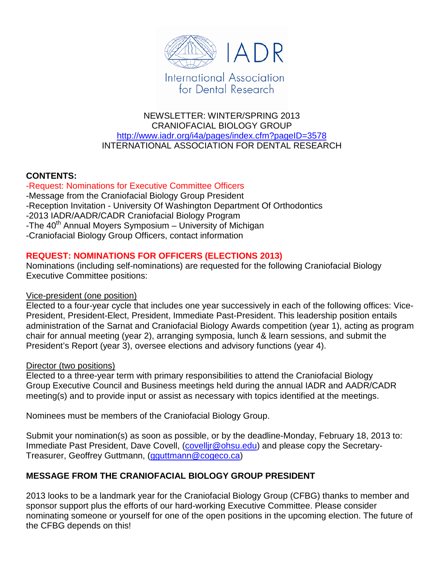

### NEWSLETTER: WINTER/SPRING 2013 CRANIOFACIAL BIOLOGY GROUP <http://www.iadr.org/i4a/pages/index.cfm?pageID=3578> INTERNATIONAL ASSOCIATION FOR DENTAL RESEARCH

### **CONTENTS:**

-Request: Nominations for Executive Committee Officers -Message from the Craniofacial Biology Group President -Reception Invitation - University Of Washington Department Of Orthodontics -2013 IADR/AADR/CADR Craniofacial Biology Program -The  $40<sup>th</sup>$  Annual Moyers Symposium – University of Michigan -Craniofacial Biology Group Officers, contact information

### **REQUEST: NOMINATIONS FOR OFFICERS (ELECTIONS 2013)**

Nominations (including self-nominations) are requested for the following Craniofacial Biology Executive Committee positions:

### Vice-president (one position)

Elected to a four-year cycle that includes one year successively in each of the following offices: Vice-President, President-Elect, President, Immediate Past-President. This leadership position entails administration of the Sarnat and Craniofacial Biology Awards competition (year 1), acting as program chair for annual meeting (year 2), arranging symposia, lunch & learn sessions, and submit the President's Report (year 3), oversee elections and advisory functions (year 4).

### Director (two positions)

Elected to a three-year term with primary responsibilities to attend the Craniofacial Biology Group Executive Council and Business meetings held during the annual IADR and AADR/CADR meeting(s) and to provide input or assist as necessary with topics identified at the meetings.

Nominees must be members of the Craniofacial Biology Group.

Submit your nomination(s) as soon as possible, or by the deadline-Monday, February 18, 2013 to: Immediate Past President, Dave Covell, (covellir@ohsu.edu) and please copy the Secretary-Treasurer, Geoffrey Guttmann, [\(gguttmann@cogeco.ca\)](mailto:gguttmann@cogeco.ca)

## **MESSAGE FROM THE CRANIOFACIAL BIOLOGY GROUP PRESIDENT**

2013 looks to be a landmark year for the Craniofacial Biology Group (CFBG) thanks to member and sponsor support plus the efforts of our hard-working Executive Committee. Please consider nominating someone or yourself for one of the open positions in the upcoming election. The future of the CFBG depends on this!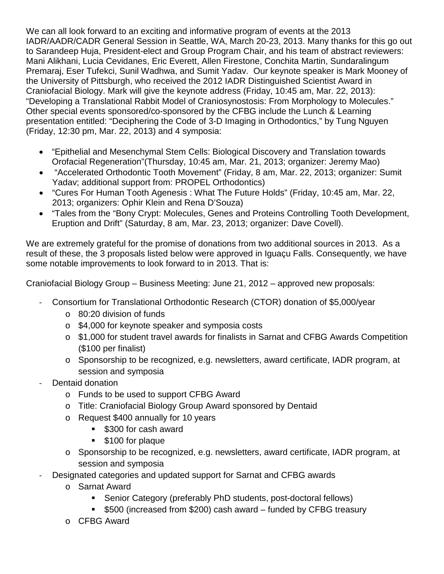We can all look forward to an exciting and informative program of events at the 2013 IADR/AADR/CADR General Session in Seattle, WA, March 20-23, 2013. Many thanks for this go out to Sarandeep Huja, President-elect and Group Program Chair, and his team of abstract reviewers: Mani Alikhani, Lucia Cevidanes, Eric Everett, Allen Firestone, Conchita Martin, Sundaralingum Premaraj, Eser Tufekci, Sunil Wadhwa, and Sumit Yadav. Our keynote speaker is Mark Mooney of the University of Pittsburgh, who received the 2012 IADR Distinguished Scientist Award in Craniofacial Biology. Mark will give the keynote address (Friday, 10:45 am, Mar. 22, 2013): "Developing a Translational Rabbit Model of Craniosynostosis: From Morphology to Molecules." Other special events sponsored/co-sponsored by the CFBG include the Lunch & Learning presentation entitled: "Deciphering the Code of 3-D Imaging in Orthodontics," by Tung Nguyen (Friday, 12:30 pm, Mar. 22, 2013) and 4 symposia:

- "Epithelial and Mesenchymal Stem Cells: Biological Discovery and Translation towards Orofacial Regeneration"(Thursday, 10:45 am, Mar. 21, 2013; organizer: Jeremy Mao)
- "Accelerated Orthodontic Tooth Movement" (Friday, 8 am, Mar. 22, 2013; organizer: Sumit Yadav; additional support from: PROPEL Orthodontics)
- "Cures For Human Tooth Agenesis : What The Future Holds" (Friday, 10:45 am, Mar. 22, 2013; organizers: Ophir Klein and Rena D'Souza)
- "Tales from the "Bony Crypt: Molecules, Genes and Proteins Controlling Tooth Development, Eruption and Drift" (Saturday, 8 am, Mar. 23, 2013; organizer: Dave Covell).

We are extremely grateful for the promise of donations from two additional sources in 2013. As a result of these, the 3 proposals listed below were approved in Iguaçu Falls. Consequently, we have some notable improvements to look forward to in 2013. That is:

Craniofacial Biology Group – Business Meeting: June 21, 2012 – approved new proposals:

- Consortium for Translational Orthodontic Research (CTOR) donation of \$5,000/year
	- o 80:20 division of funds
	- o \$4,000 for keynote speaker and symposia costs
	- o \$1,000 for student travel awards for finalists in Sarnat and CFBG Awards Competition (\$100 per finalist)
	- o Sponsorship to be recognized, e.g. newsletters, award certificate, IADR program, at session and symposia
- Dentaid donation
	- o Funds to be used to support CFBG Award
	- o Title: Craniofacial Biology Group Award sponsored by Dentaid
	- o Request \$400 annually for 10 years
		- **5300 for cash award**
		- **\$100 for plaque**
	- o Sponsorship to be recognized, e.g. newsletters, award certificate, IADR program, at session and symposia
- Designated categories and updated support for Sarnat and CFBG awards
	- o Sarnat Award
		- Senior Category (preferably PhD students, post-doctoral fellows)
		- \$500 (increased from \$200) cash award funded by CFBG treasury
	- o CFBG Award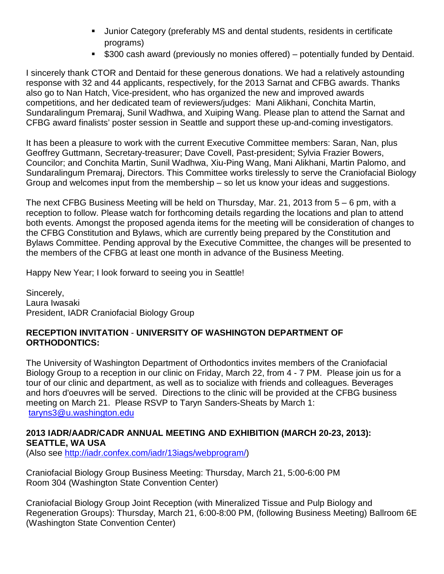- Junior Category (preferably MS and dental students, residents in certificate programs)
- **5300 cash award (previously no monies offered)** potentially funded by Dentaid.

I sincerely thank CTOR and Dentaid for these generous donations. We had a relatively astounding response with 32 and 44 applicants, respectively, for the 2013 Sarnat and CFBG awards. Thanks also go to Nan Hatch, Vice-president, who has organized the new and improved awards competitions, and her dedicated team of reviewers/judges: Mani Alikhani, Conchita Martin, Sundaralingum Premaraj, Sunil Wadhwa, and Xuiping Wang. Please plan to attend the Sarnat and CFBG award finalists' poster session in Seattle and support these up-and-coming investigators.

It has been a pleasure to work with the current Executive Committee members: Saran, Nan, plus Geoffrey Guttmann, Secretary-treasurer; Dave Covell, Past-president; Sylvia Frazier Bowers, Councilor; and Conchita Martin, Sunil Wadhwa, Xiu-Ping Wang, Mani Alikhani, Martin Palomo, and Sundaralingum Premaraj, Directors. This Committee works tirelessly to serve the Craniofacial Biology Group and welcomes input from the membership – so let us know your ideas and suggestions.

The next CFBG Business Meeting will be held on Thursday, Mar. 21, 2013 from 5 – 6 pm, with a reception to follow. Please watch for forthcoming details regarding the locations and plan to attend both events. Amongst the proposed agenda items for the meeting will be consideration of changes to the CFBG Constitution and Bylaws, which are currently being prepared by the Constitution and Bylaws Committee. Pending approval by the Executive Committee, the changes will be presented to the members of the CFBG at least one month in advance of the Business Meeting.

Happy New Year; I look forward to seeing you in Seattle!

Sincerely, Laura Iwasaki President, IADR Craniofacial Biology Group

### **RECEPTION INVITATION** - **UNIVERSITY OF WASHINGTON DEPARTMENT OF ORTHODONTICS:**

The University of Washington Department of Orthodontics invites members of the Craniofacial Biology Group to a reception in our clinic on Friday, March 22, from 4 - 7 PM. Please join us for a tour of our clinic and department, as well as to socialize with friends and colleagues. Beverages and hors d'oeuvres will be served. Directions to the clinic will be provided at the CFBG business meeting on March 21. Please RSVP to Taryn Sanders-Sheats by March 1: [taryns3@u.washington.edu](mailto:taryns3@u.washington.edu)

### **2013 IADR/AADR/CADR ANNUAL MEETING AND EXHIBITION (MARCH 20-23, 2013): SEATTLE, WA USA**

(Also see [http://iadr.confex.com/iadr/13iags/webprogram/\)](http://iadr.confex.com/iadr/13iags/webprogram/)

Craniofacial Biology Group Business Meeting: Thursday, March 21, 5:00-6:00 PM Room 304 (Washington State Convention Center)

Craniofacial Biology Group Joint Reception (with Mineralized Tissue and Pulp Biology and Regeneration Groups): Thursday, March 21, 6:00-8:00 PM, (following Business Meeting) Ballroom 6E (Washington State Convention Center)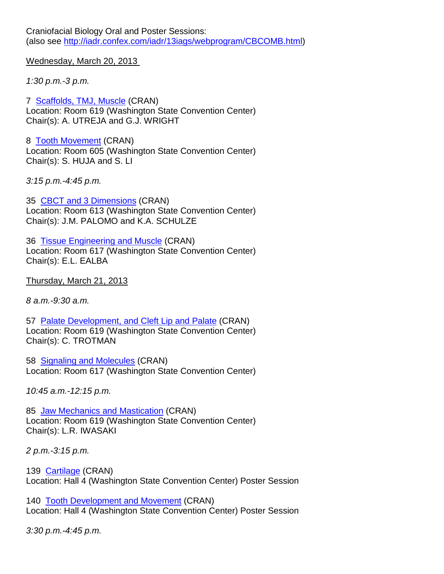Craniofacial Biology Oral and Poster Sessions: (also see [http://iadr.confex.com/iadr/13iags/webprogram/CBCOMB.html\)](http://iadr.confex.com/iadr/13iags/webprogram/CBCOMB.html)

Wednesday, March 20, 2013

*1:30 p.m.-3 p.m.*

7 [Scaffolds, TMJ, Muscle](http://iadr.confex.com/iadr/13iags/webprogram/Session30175.html) (CRAN) Location: Room 619 (Washington State Convention Center) Chair(s): A. UTREJA and G.J. WRIGHT

8 [Tooth Movement](http://iadr.confex.com/iadr/13iags/webprogram/Session30177.html) (CRAN) Location: Room 605 (Washington State Convention Center) Chair(s): S. HUJA and S. LI

*3:15 p.m.-4:45 p.m.*

35 [CBCT and 3 Dimensions](http://iadr.confex.com/iadr/13iags/webprogram/Session30174.html) (CRAN) Location: Room 613 (Washington State Convention Center) Chair(s): J.M. PALOMO and K.A. SCHULZE

36 [Tissue Engineering and Muscle](http://iadr.confex.com/iadr/13iags/webprogram/Session30178.html) (CRAN) Location: Room 617 (Washington State Convention Center) Chair(s): E.L. EALBA

Thursday, March 21, 2013

*8 a.m.-9:30 a.m.*

57 [Palate Development, and Cleft Lip and Palate](http://iadr.confex.com/iadr/13iags/webprogram/Session30170.html) (CRAN) Location: Room 619 (Washington State Convention Center) Chair(s): C. TROTMAN

58 [Signaling and Molecules](http://iadr.confex.com/iadr/13iags/webprogram/Session30179.html) (CRAN) Location: Room 617 (Washington State Convention Center)

*10:45 a.m.-12:15 p.m.*

85 [Jaw Mechanics and Mastication](http://iadr.confex.com/iadr/13iags/webprogram/Session30176.html) (CRAN) Location: Room 619 (Washington State Convention Center) Chair(s): L.R. IWASAKI

*2 p.m.-3:15 p.m.*

139 [Cartilage](http://iadr.confex.com/iadr/13iags/webprogram/Session30197.html) (CRAN) Location: Hall 4 (Washington State Convention Center) Poster Session

140 [Tooth Development and Movement](http://iadr.confex.com/iadr/13iags/webprogram/Session30191.html) (CRAN) Location: Hall 4 (Washington State Convention Center) Poster Session

*3:30 p.m.-4:45 p.m.*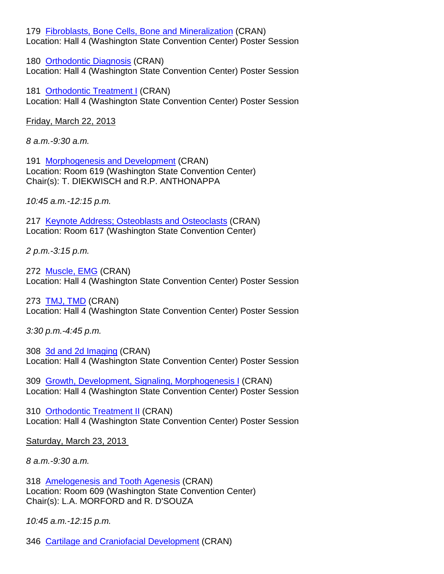179 [Fibroblasts, Bone Cells, Bone and Mineralization](http://iadr.confex.com/iadr/13iags/webprogram/Session30196.html) (CRAN) Location: Hall 4 (Washington State Convention Center) Poster Session

180 [Orthodontic Diagnosis](http://iadr.confex.com/iadr/13iags/webprogram/Session30389.html) (CRAN) Location: Hall 4 (Washington State Convention Center) Poster Session

181 [Orthodontic Treatment I](http://iadr.confex.com/iadr/13iags/webprogram/Session30189.html) (CRAN) Location: Hall 4 (Washington State Convention Center) Poster Session

Friday, March 22, 2013

*8 a.m.-9:30 a.m.*

191 [Morphogenesis and Development](http://iadr.confex.com/iadr/13iags/webprogram/Session30171.html) (CRAN) Location: Room 619 (Washington State Convention Center) Chair(s): T. DIEKWISCH and R.P. ANTHONAPPA

*10:45 a.m.-12:15 p.m.*

217 [Keynote Address; Osteoblasts and Osteoclasts](http://iadr.confex.com/iadr/13iags/webprogram/Session30173.html) (CRAN) Location: Room 617 (Washington State Convention Center)

*2 p.m.-3:15 p.m.*

272 [Muscle, EMG](http://iadr.confex.com/iadr/13iags/webprogram/Session30193.html) (CRAN) Location: Hall 4 (Washington State Convention Center) Poster Session

273 [TMJ, TMD](http://iadr.confex.com/iadr/13iags/webprogram/Session30192.html) (CRAN) Location: Hall 4 (Washington State Convention Center) Poster Session

*3:30 p.m.-4:45 p.m.*

308 [3d and 2d Imaging](http://iadr.confex.com/iadr/13iags/webprogram/Session30188.html) (CRAN) Location: Hall 4 (Washington State Convention Center) Poster Session

309 [Growth, Development, Signaling, Morphogenesis I](http://iadr.confex.com/iadr/13iags/webprogram/Session30391.html) (CRAN) Location: Hall 4 (Washington State Convention Center) Poster Session

310 [Orthodontic Treatment II](http://iadr.confex.com/iadr/13iags/webprogram/Session30390.html) (CRAN) Location: Hall 4 (Washington State Convention Center) Poster Session

Saturday, March 23, 2013

*8 a.m.-9:30 a.m.*

318 [Amelogenesis and Tooth Agenesis](http://iadr.confex.com/iadr/13iags/webprogram/Session30169.html) (CRAN) Location: Room 609 (Washington State Convention Center) Chair(s): L.A. MORFORD and R. D'SOUZA

*10:45 a.m.-12:15 p.m.*

346 [Cartilage and Craniofacial Development](http://iadr.confex.com/iadr/13iags/webprogram/Session30168.html) (CRAN)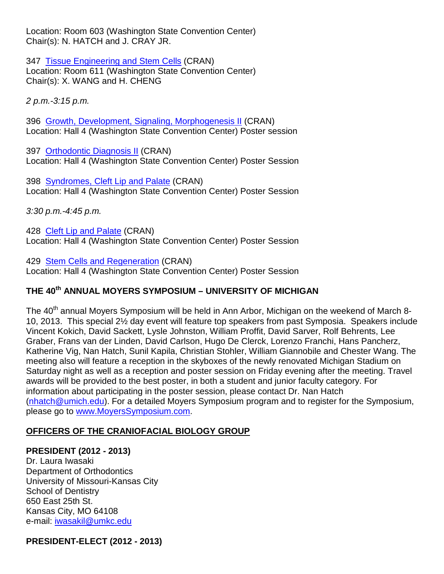Location: Room 603 (Washington State Convention Center) Chair(s): N. HATCH and J. CRAY JR.

347 [Tissue Engineering and Stem Cells](http://iadr.confex.com/iadr/13iags/webprogram/Session30172.html) (CRAN) Location: Room 611 (Washington State Convention Center) Chair(s): X. WANG and H. CHENG

*2 p.m.-3:15 p.m.*

396 [Growth, Development, Signaling, Morphogenesis II](http://iadr.confex.com/iadr/13iags/webprogram/Session30190.html) (CRAN) Location: Hall 4 (Washington State Convention Center) Poster session

397 [Orthodontic Diagnosis II](http://iadr.confex.com/iadr/13iags/webprogram/Session30187.html) (CRAN) Location: Hall 4 (Washington State Convention Center) Poster Session

398 [Syndromes, Cleft Lip and Palate](http://iadr.confex.com/iadr/13iags/webprogram/Session30195.html) (CRAN) Location: Hall 4 (Washington State Convention Center) Poster Session

*3:30 p.m.-4:45 p.m.*

428 [Cleft Lip and Palate](http://iadr.confex.com/iadr/13iags/webprogram/Session30182.html) (CRAN) Location: Hall 4 (Washington State Convention Center) Poster Session

429 [Stem Cells and Regeneration](http://iadr.confex.com/iadr/13iags/webprogram/Session30194.html) (CRAN) Location: Hall 4 (Washington State Convention Center) Poster Session

# **THE 40th ANNUAL MOYERS SYMPOSIUM – UNIVERSITY OF MICHIGAN**

The 40<sup>th</sup> annual Moyers Symposium will be held in Ann Arbor, Michigan on the weekend of March 8-10, 2013. This special 2½ day event will feature top speakers from past Symposia. Speakers include Vincent Kokich, David Sackett, Lysle Johnston, William Proffit, David Sarver, Rolf Behrents, Lee Graber, Frans van der Linden, David Carlson, Hugo De Clerck, Lorenzo Franchi, Hans Pancherz, Katherine Vig, Nan Hatch, Sunil Kapila, Christian Stohler, William Giannobile and Chester Wang. The meeting also will feature a reception in the skyboxes of the newly renovated Michigan Stadium on Saturday night as well as a reception and poster session on Friday evening after the meeting. Travel awards will be provided to the best poster, in both a student and junior faculty category. For information about participating in the poster session, please contact Dr. Nan Hatch [\(nhatch@umich.edu\)](mailto:nhatch@umich.edu). For a detailed Moyers Symposium program and to register for the Symposium, please go to [www.MoyersSymposium.com.](http://www.moyerssymposium.com/)

### **OFFICERS OF THE CRANIOFACIAL BIOLOGY GROUP**

### **PRESIDENT (2012 - 2013)**

Dr. Laura Iwasaki Department of Orthodontics University of Missouri-Kansas City School of Dentistry 650 East 25th St. Kansas City, MO 64108 e-mail: [iwasakil@umkc.edu](mailto:iwasakil@umkc.edu)

### **PRESIDENT-ELECT (2012 - 2013)**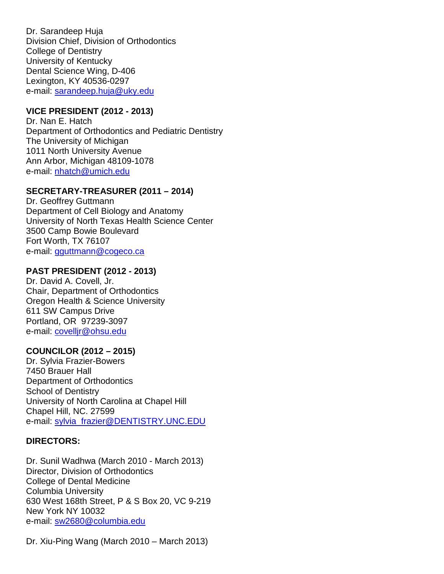Dr. Sarandeep Huja Division Chief, Division of Orthodontics College of Dentistry University of Kentucky Dental Science Wing, D-406 Lexington, KY 40536-0297 e-mail: [sarandeep.huja@uky.edu](mailto:sarandeep.huja@uky.edu)

### **VICE PRESIDENT (2012 - 2013)**

Dr. Nan E. Hatch Department of Orthodontics and Pediatric Dentistry The University of Michigan 1011 North University Avenue Ann Arbor, Michigan 48109-1078 e-mail: [nhatch@umich.edu](mailto:nhatch@umich.edu)

### **SECRETARY-TREASURER (2011 – 2014)**

Dr. Geoffrey Guttmann Department of Cell Biology and Anatomy University of North Texas Health Science Center 3500 Camp Bowie Boulevard Fort Worth, TX 76107 e-mail: [gguttmann@cogeco.ca](mailto:gguttmann@cogeco.ca)

### **PAST PRESIDENT (2012 - 2013)**

Dr. David A. Covell, Jr. Chair, Department of Orthodontics Oregon Health & Science University 611 SW Campus Drive Portland, OR 97239-3097 e-mail: [covelljr@ohsu.edu](mailto:covelljr@ohsu.edu)

### **COUNCILOR (2012 – 2015)**

Dr. Sylvia Frazier-Bowers 7450 Brauer Hall Department of Orthodontics School of Dentistry University of North Carolina at Chapel Hill Chapel Hill, NC. 27599 e-mail: [sylvia\\_frazier@DENTISTRY.UNC.EDU](mailto:sylvia_frazier@DENTISTRY.UNC.EDU)

### **DIRECTORS:**

Dr. Sunil Wadhwa (March 2010 - March 2013) Director, Division of Orthodontics College of Dental Medicine Columbia University 630 West 168th Street, P & S Box 20, VC 9-219 New York NY 10032 e-mail: [sw2680@columbia.edu](mailto:sw2680@columbia.edu) 

Dr. Xiu-Ping Wang (March 2010 – March 2013)